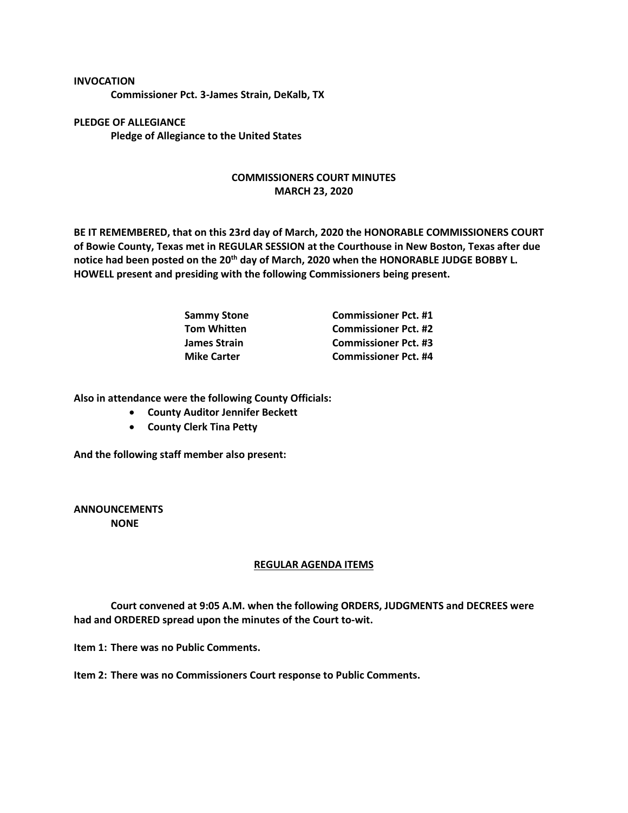## **INVOCATION**

**Commissioner Pct. 3-James Strain, DeKalb, TX**

**PLEDGE OF ALLEGIANCE Pledge of Allegiance to the United States**

## **COMMISSIONERS COURT MINUTES MARCH 23, 2020**

**BE IT REMEMBERED, that on this 23rd day of March, 2020 the HONORABLE COMMISSIONERS COURT of Bowie County, Texas met in REGULAR SESSION at the Courthouse in New Boston, Texas after due notice had been posted on the 20th day of March, 2020 when the HONORABLE JUDGE BOBBY L. HOWELL present and presiding with the following Commissioners being present.**

| <b>Sammy Stone</b> | <b>Commissioner Pct. #1</b> |
|--------------------|-----------------------------|
| <b>Tom Whitten</b> | <b>Commissioner Pct. #2</b> |
| James Strain       | <b>Commissioner Pct. #3</b> |
| <b>Mike Carter</b> | <b>Commissioner Pct. #4</b> |

**Also in attendance were the following County Officials:**

- **County Auditor Jennifer Beckett**
- **County Clerk Tina Petty**

**And the following staff member also present:**

**ANNOUNCEMENTS NONE**

## **REGULAR AGENDA ITEMS**

**Court convened at 9:05 A.M. when the following ORDERS, JUDGMENTS and DECREES were had and ORDERED spread upon the minutes of the Court to-wit.**

**Item 1: There was no Public Comments.**

**Item 2: There was no Commissioners Court response to Public Comments.**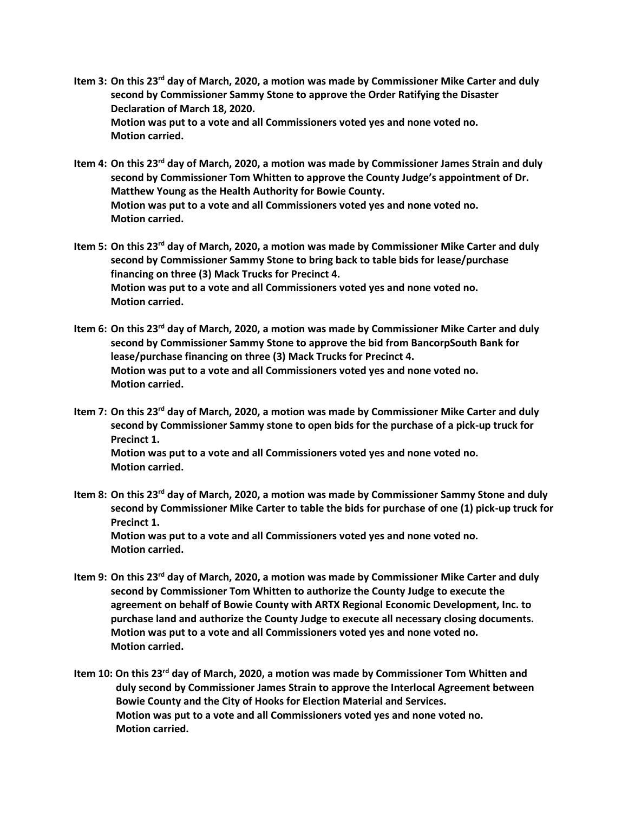- **Item 3: On this 23rd day of March, 2020, a motion was made by Commissioner Mike Carter and duly second by Commissioner Sammy Stone to approve the Order Ratifying the Disaster Declaration of March 18, 2020. Motion was put to a vote and all Commissioners voted yes and none voted no. Motion carried.**
- **Item 4: On this 23rd day of March, 2020, a motion was made by Commissioner James Strain and duly second by Commissioner Tom Whitten to approve the County Judge's appointment of Dr. Matthew Young as the Health Authority for Bowie County. Motion was put to a vote and all Commissioners voted yes and none voted no. Motion carried.**
- **Item 5: On this 23rd day of March, 2020, a motion was made by Commissioner Mike Carter and duly second by Commissioner Sammy Stone to bring back to table bids for lease/purchase financing on three (3) Mack Trucks for Precinct 4. Motion was put to a vote and all Commissioners voted yes and none voted no. Motion carried.**
- **Item 6: On this 23rd day of March, 2020, a motion was made by Commissioner Mike Carter and duly second by Commissioner Sammy Stone to approve the bid from BancorpSouth Bank for lease/purchase financing on three (3) Mack Trucks for Precinct 4. Motion was put to a vote and all Commissioners voted yes and none voted no. Motion carried.**
- **Item 7: On this 23rd day of March, 2020, a motion was made by Commissioner Mike Carter and duly second by Commissioner Sammy stone to open bids for the purchase of a pick-up truck for Precinct 1. Motion was put to a vote and all Commissioners voted yes and none voted no. Motion carried.**
- **Item 8: On this 23rd day of March, 2020, a motion was made by Commissioner Sammy Stone and duly second by Commissioner Mike Carter to table the bids for purchase of one (1) pick-up truck for Precinct 1. Motion was put to a vote and all Commissioners voted yes and none voted no. Motion carried.**
- **Item 9: On this 23rd day of March, 2020, a motion was made by Commissioner Mike Carter and duly second by Commissioner Tom Whitten to authorize the County Judge to execute the agreement on behalf of Bowie County with ARTX Regional Economic Development, Inc. to purchase land and authorize the County Judge to execute all necessary closing documents. Motion was put to a vote and all Commissioners voted yes and none voted no. Motion carried.**
- **Item 10: On this 23rd day of March, 2020, a motion was made by Commissioner Tom Whitten and duly second by Commissioner James Strain to approve the Interlocal Agreement between Bowie County and the City of Hooks for Election Material and Services. Motion was put to a vote and all Commissioners voted yes and none voted no. Motion carried.**